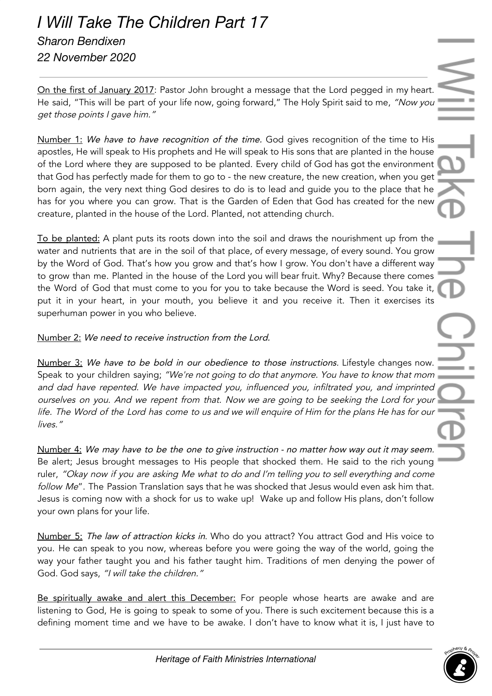## *I Will Take The Children Part 17 Sharon Bendixen 22 November 2020*

On the first of January 2017: Pastor John brought a message that the Lord pegged in my heart. He said, "This will be part of your life now, going forward," The Holy Spirit said to me, "Now you get those points <sup>I</sup> gave him."

Number 1: We have to have recognition of the time. God gives recognition of the time to His apostles, He will speak to His prophets and He will speak to His sons that are planted in the house of the Lord where they are supposed to be planted. Every child of God has got the environment that God has perfectly made for them to go to - the new creature, the new creation, when you get born again, the very next thing God desires to do is to lead and guide you to the place that he has for you where you can grow. That is the Garden of Eden that God has created for the new creature, planted in the house of the Lord. Planted, not attending church.

To be planted: A plant puts its roots down into the soil and draws the nourishment up from the water and nutrients that are in the soil of that place, of every message, of every sound. You grow by the Word of God. That's how you grow and that's how I grow. You don't have a different way to grow than me. Planted in the house of the Lord you will bear fruit. Why? Because there comes the Word of God that must come to you for you to take because the Word is seed. You take it, put it in your heart, in your mouth, you believe it and you receive it. Then it exercises its superhuman power in you who believe.

## Number 2: We need to receive instruction from the Lord.

Number 3: We have to be bold in our obedience to those instructions. Lifestyle changes now. Speak to your children saying; "We're not going to do that anymore. You have to know that mom and dad have repented. We have impacted you, influenced you, infiltrated you, and imprinted ourselves on you. And we repent from that. Now we are going to be seeking the Lord for your life. The Word of the Lord has come to us and we will enquire of Him for the plans He has for our lives."

Number 4: We may have to be the one to give instruction - no matter how way out it may seem. Be alert; Jesus brought messages to His people that shocked them. He said to the rich young ruler, "Okay now if you are asking Me what to do and I'm telling you to sell everything and come follow Me". The Passion Translation says that he was shocked that Jesus would even ask him that. Jesus is coming now with a shock for us to wake up! Wake up and follow His plans, don't follow your own plans for your life.

Number 5: The law of attraction kicks in. Who do you attract? You attract God and His voice to you. He can speak to you now, whereas before you were going the way of the world, going the way your father taught you and his father taught him. Traditions of men denying the power of God. God says, "I will take the children."

Be spiritually awake and alert this December: For people whose hearts are awake and are listening to God, He is going to speak to some of you. There is such excitement because this is a defining moment time and we have to be awake. I don't have to know what it is, I just have to

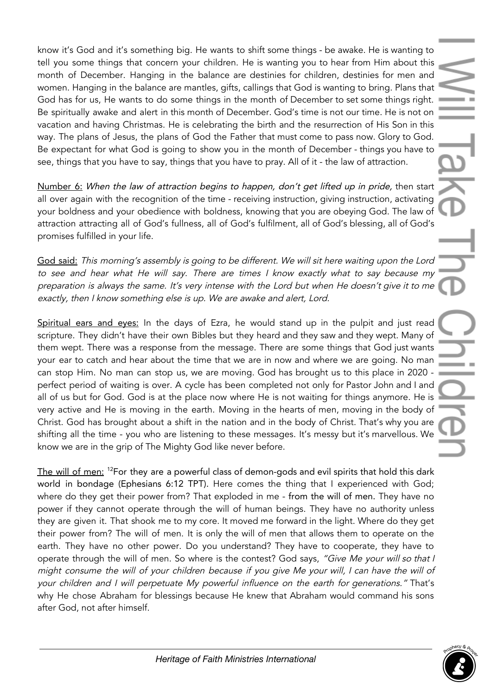know it's God and it's something big. He wants to shift some things - be awake. He is wanting to tell you some things that concern your children. He is wanting you to hear from Him about this month of December. Hanging in the balance are destinies for children, destinies for men and women. Hanging in the balance are mantles, gifts, callings that God is wanting to bring. Plans that God has for us, He wants to do some things in the month of December to set some things right. Be spiritually awake and alert in this month of December. God's time is not our time. He is not on vacation and having Christmas. He is celebrating the birth and the resurrection of His Son in this way. The plans of Jesus, the plans of God the Father that must come to pass now. Glory to God. Be expectant for what God is going to show you in the month of December - things you have to see, things that you have to say, things that you have to pray. All of it - the law of attraction.

Number 6: When the law of attraction begins to happen, don't get lifted up in pride, then start all over again with the recognition of the time - receiving instruction, giving instruction, activating your boldness and your obedience with boldness, knowing that you are obeying God. The law of attraction attracting all of God's fullness, all of God's fulfilment, all of God's blessing, all of God's promises fulfilled in your life.

God said: This morning's assembly is going to be different. We will sit here waiting upon the Lord to see and hear what He will say. There are times I know exactly what to say because my preparation is always the same. It's very intense with the Lord but when He doesn't <sup>g</sup>ive it to me exactly, then <sup>I</sup> know something else is up. We are awake and alert, Lord.

Spiritual ears and eyes: In the days of Ezra, he would stand up in the pulpit and just read scripture. They didn't have their own Bibles but they heard and they saw and they wept. Many of them wept. There was a response from the message. There are some things that God just wants your ear to catch and hear about the time that we are in now and where we are going. No man can stop Him. No man can stop us, we are moving. God has brought us to this place in 2020 perfect period of waiting is over. A cycle has been completed not only for Pastor John and I and all of us but for God. God is at the place now where He is not waiting for things anymore. He is very active and He is moving in the earth. Moving in the hearts of men, moving in the body of Christ. God has brought about a shift in the nation and in the body of Christ. That's why you are shifting all the time - you who are listening to these messages. It's messy but it's marvellous. We know we are in the grip of The Mighty God like never before.

The will of men: <sup>12</sup>For they are a powerful class of demon-gods and evil spirits that hold this dark world in bondage (Ephesians 6:12 TPT). Here comes the thing that I experienced with God; where do they get their power from? That exploded in me - from the will of men. They have no power if they cannot operate through the will of human beings. They have no authority unless they are given it. That shook me to my core. It moved me forward in the light. Where do they get their power from? The will of men. It is only the will of men that allows them to operate on the earth. They have no other power. Do you understand? They have to cooperate, they have to operate through the will of men. So where is the contest? God says, "Give Me your will so that I might consume the will of your children because if you give Me your will, I can have the will of your children and <sup>I</sup> will perpetuate My powerful influence on the earth for generations." That's why He chose Abraham for blessings because He knew that Abraham would command his sons after God, not after himself.

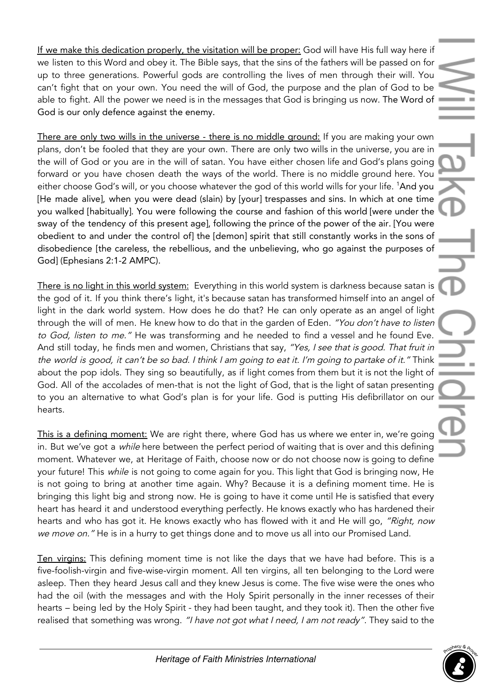If we make this dedication properly, the visitation will be proper: God will have His full way here if we listen to this Word and obey it. The Bible says, that the sins of the fathers will be passed on for up to three generations. Powerful gods are controlling the lives of men through their will. You can't fight that on your own. You need the will of God, the purpose and the plan of God to be able to fight. All the power we need is in the messages that God is bringing us now. The Word of God is our only defence against the enemy.

There are only two wills in the universe - there is no middle ground: If you are making your own plans, don't be fooled that they are your own. There are only two wills in the universe, you are in the will of God or you are in the will of satan. You have either chosen life and God's plans going forward or you have chosen death the ways of the world. There is no middle ground here. You either choose God's will, or you choose whatever the god of this world wills for your life. <sup>1</sup>And you [He made alive], when you were dead (slain) by [your] trespasses and sins. In which at one time you walked [habitually]. You were following the course and fashion of this world [were under the sway of the tendency of this present age], following the prince of the power of the air. [You were obedient to and under the control of] the [demon] spirit that still constantly works in the sons of disobedience [the careless, the rebellious, and the unbelieving, who go against the purposes of God] (Ephesians 2:1-2 AMPC).

There is no light in this world system: Everything in this world system is darkness because satan is the god of it. If you think there's light, it's because satan has transformed himself into an angel of light in the dark world system. How does he do that? He can only operate as an angel of light through the will of men. He knew how to do that in the garden of Eden. "You don't have to listen to God, listen to me." He was transforming and he needed to find a vessel and he found Eve. And still today, he finds men and women, Christians that say, "Yes, I see that is good. That fruit in the world is good, it can't be so bad. <sup>I</sup> think <sup>I</sup> am going to eat it. I'm going to partake of it." Think about the pop idols. They sing so beautifully, as if light comes from them but it is not the light of God. All of the accolades of men-that is not the light of God, that is the light of satan presenting to you an alternative to what God's plan is for your life. God is putting His defibrillator on our hearts.

This is a defining moment: We are right there, where God has us where we enter in, we're going in. But we've got a *while* here between the perfect period of waiting that is over and this defining moment. Whatever we, at Heritage of Faith, choose now or do not choose now is going to define your future! This while is not going to come again for you. This light that God is bringing now, He is not going to bring at another time again. Why? Because it is a defining moment time. He is bringing this light big and strong now. He is going to have it come until He is satisfied that every heart has heard it and understood everything perfectly. He knows exactly who has hardened their hearts and who has got it. He knows exactly who has flowed with it and He will go, "Right, now we move on." He is in a hurry to get things done and to move us all into our Promised Land.

Ten virgins: This defining moment time is not like the days that we have had before. This is a five-foolish-virgin and five-wise-virgin moment. All ten virgins, all ten belonging to the Lord were asleep. Then they heard Jesus call and they knew Jesus is come. The five wise were the ones who had the oil (with the messages and with the Holy Spirit personally in the inner recesses of their hearts – being led by the Holy Spirit - they had been taught, and they took it). Then the other five realised that something was wrong. "I have not got what I need, I am not ready". They said to the

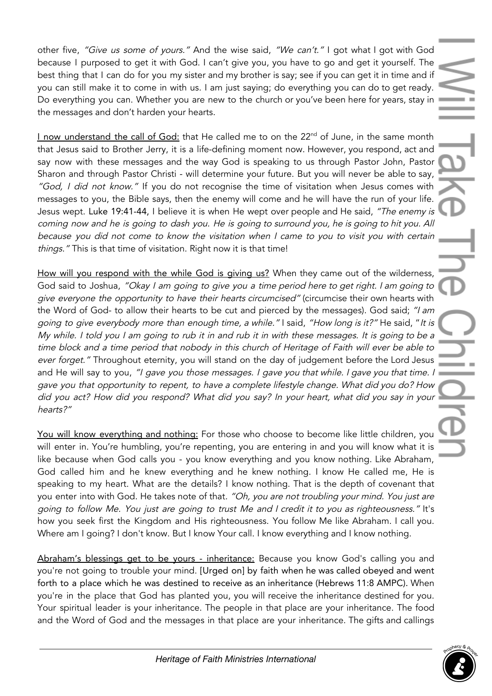other five, "Give us some of yours." And the wise said, "We can't." I got what I got with God because I purposed to get it with God. I can't give you, you have to go and get it yourself. The best thing that I can do for you my sister and my brother is say; see if you can get it in time and if you can still make it to come in with us. I am just saying; do everything you can do to get ready. Do everything you can. Whether you are new to the church or you've been here for years, stay in the messages and don't harden your hearts.

I now understand the call of God: that He called me to on the 22<sup>nd</sup> of June, in the same month that Jesus said to Brother Jerry, it is a life-defining moment now. However, you respond, act and say now with these messages and the way God is speaking to us through Pastor John, Pastor Sharon and through Pastor Christi - will determine your future. But you will never be able to say, "God, I did not know." If you do not recognise the time of visitation when Jesus comes with messages to you, the Bible says, then the enemy will come and he will have the run of your life. Jesus wept. Luke 19:41-44, I believe it is when He wept over people and He said, "The enemy is coming now and he is going to dash you. He is going to surround you, he is going to hit you. All because you did not come to know the visitation when I came to you to visit you with certain things." This is that time of visitation. Right now it is that time!

How will you respond with the while God is giving us? When they came out of the wilderness, God said to Joshua, "Okay I am going to give you a time period here to get right. I am going to give everyone the opportunity to have their hearts circumcised" (circumcise their own hearts with the Word of God- to allow their hearts to be cut and pierced by the messages). God said; "I am going to give everybody more than enough time, <sup>a</sup> while." I said, "How long is it?" He said, "It is My while. I told you I am going to rub it in and rub it in with these messages. It is going to be <sup>a</sup> time block and <sup>a</sup> time period that nobody in this church of Heritage of Faith will ever be able to ever forget." Throughout eternity, you will stand on the day of judgement before the Lord Jesus and He will say to you, "I gave you those messages. I gave you that while. I gave you that time. gave you that opportunity to repent, to have <sup>a</sup> complete lifestyle change. What did you do? How did you act? How did you respond? What did you say? In your heart, what did you say in your hearts?"

You will know everything and nothing: For those who choose to become like little children, you will enter in. You're humbling, you're repenting, you are entering in and you will know what it is like because when God calls you - you know everything and you know nothing. Like Abraham, God called him and he knew everything and he knew nothing. I know He called me, He is speaking to my heart. What are the details? I know nothing. That is the depth of covenant that you enter into with God. He takes note of that. "Oh, you are not troubling your mind. You just are going to follow Me. You just are going to trust Me and I credit it to you as righteousness." It's how you seek first the Kingdom and His righteousness. You follow Me like Abraham. I call you. Where am I going? I don't know. But I know Your call. I know everything and I know nothing.

Abraham's blessings get to be yours - inheritance: Because you know God's calling you and you're not going to trouble your mind. [Urged on] by faith when he was called obeyed and went forth to a place which he was destined to receive as an inheritance (Hebrews 11:8 AMPC). When you're in the place that God has planted you, you will receive the inheritance destined for you. Your spiritual leader is your inheritance. The people in that place are your inheritance. The food and the Word of God and the messages in that place are your inheritance. The gifts and callings

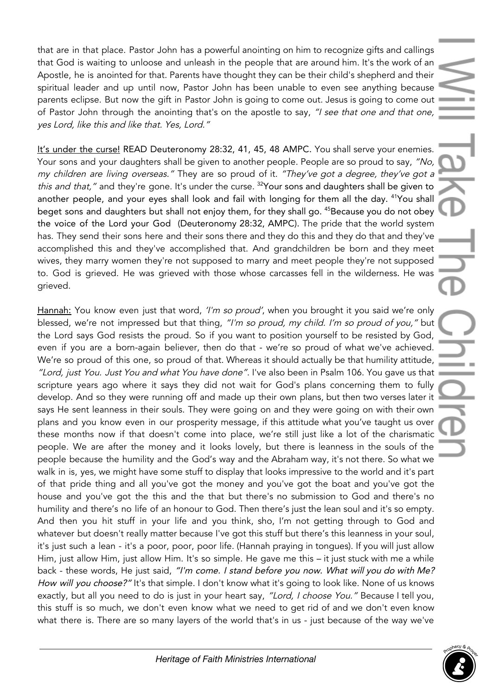that are in that place. Pastor John has a powerful anointing on him to recognize gifts and callings that God is waiting to unloose and unleash in the people that are around him. It's the work of an Apostle, he is anointed for that. Parents have thought they can be their child's shepherd and their spiritual leader and up until now, Pastor John has been unable to even see anything because parents eclipse. But now the gift in Pastor John is going to come out. Jesus is going to come out of Pastor John through the anointing that's on the apostle to say, "I see that one and that one, yes Lord, like this and like that. Yes, Lord."

It's under the curse! READ Deuteronomy 28:32, 41, 45, 48 AMPC. You shall serve your enemies. Your sons and your daughters shall be given to another people. People are so proud to say, "No, my children are living overseas." They are so proud of it. "They've got <sup>a</sup> degree, they've got <sup>a</sup> this and that," and they're gone. It's under the curse. <sup>32</sup>Your sons and daughters shall be given to another people, and your eyes shall look and fail with longing for them all the day. <sup>41</sup>You shall beget sons and daughters but shall not enjoy them, for they shall go. <sup>45</sup>Because you do not obey the voice of the Lord your God (Deuteronomy 28:32, AMPC). The pride that the world system has. They send their sons here and their sons there and they do this and they do that and they've accomplished this and they've accomplished that. And grandchildren be born and they meet wives, they marry women they're not supposed to marry and meet people they're not supposed to. God is grieved. He was grieved with those whose carcasses fell in the wilderness. He was grieved.

Hannah: You know even just that word, 'I'm so proud', when you brought it you said we're only blessed, we're not impressed but that thing, "I'm so proud, my child. I'm so proud of you," but the Lord says God resists the proud. So if you want to position yourself to be resisted by God, even if you are a born-again believer, then do that - we're so proud of what we've achieved. We're so proud of this one, so proud of that. Whereas it should actually be that humility attitude, "Lord, just You. Just You and what You have done". I've also been in Psalm 106. You gave us that scripture years ago where it says they did not wait for God's plans concerning them to fully develop. And so they were running off and made up their own plans, but then two verses later it says He sent leanness in their souls. They were going on and they were going on with their own plans and you know even in our prosperity message, if this attitude what you've taught us over these months now if that doesn't come into place, we're still just like a lot of the charismatic people. We are after the money and it looks lovely, but there is leanness in the souls of the people because the humility and the God's way and the Abraham way, it's not there. So what we walk in is, yes, we might have some stuff to display that looks impressive to the world and it's part of that pride thing and all you've got the money and you've got the boat and you've got the house and you've got the this and the that but there's no submission to God and there's no humility and there's no life of an honour to God. Then there's just the lean soul and it's so empty. And then you hit stuff in your life and you think, sho, I'm not getting through to God and whatever but doesn't really matter because I've got this stuff but there's this leanness in your soul, it's just such a lean - it's a poor, poor, poor life. (Hannah praying in tongues). If you will just allow Him, just allow Him, just allow Him. It's so simple. He gave me this – it just stuck with me a while back - these words, He just said, "I'm come. I stand before you now. What will you do with Me? How will you choose?" It's that simple. I don't know what it's going to look like. None of us knows exactly, but all you need to do is just in your heart say, "Lord, I choose You." Because I tell you, this stuff is so much, we don't even know what we need to get rid of and we don't even know what there is. There are so many layers of the world that's in us - just because of the way we've

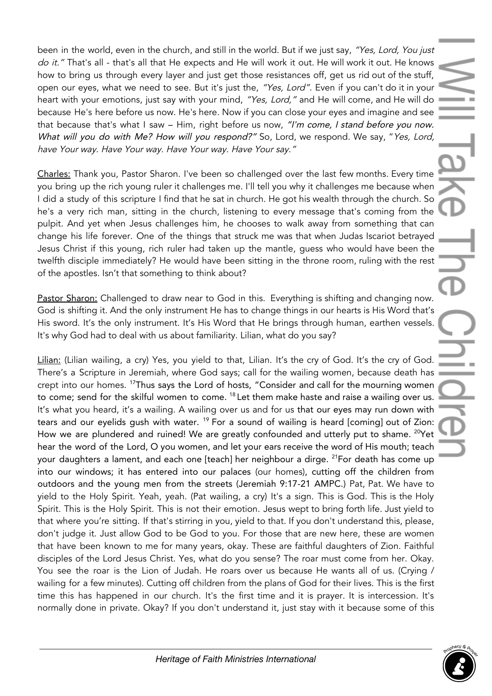been in the world, even in the church, and still in the world. But if we just say, "Yes, Lord, You just do it." That's all - that's all that He expects and He will work it out. He will work it out. He knows how to bring us through every layer and just get those resistances off, get us rid out of the stuff, open our eyes, what we need to see. But it's just the, "Yes, Lord". Even if you can't do it in your heart with your emotions, just say with your mind, "Yes, Lord," and He will come, and He will do because He's here before us now. He's here. Now if you can close your eyes and imagine and see that because that's what I saw - Him, right before us now, "I'm come, I stand before you now. What will you do with Me? How will you respond?" So, Lord, we respond. We say, "Yes, Lord, have Your way. Have Your way. Have Your way. Have Your say."

Charles: Thank you, Pastor Sharon. I've been so challenged over the last few months. Every time you bring up the rich young ruler it challenges me. I'll tell you why it challenges me because when I did a study of this scripture I find that he sat in church. He got his wealth through the church. So he's a very rich man, sitting in the church, listening to every message that's coming from the pulpit. And yet when Jesus challenges him, he chooses to walk away from something that can change his life forever. One of the things that struck me was that when Judas Iscariot betrayed Jesus Christ if this young, rich ruler had taken up the mantle, guess who would have been the twelfth disciple immediately? He would have been sitting in the throne room, ruling with the rest of the apostles. Isn't that something to think about?

Pastor Sharon: Challenged to draw near to God in this. Everything is shifting and changing now. God is shifting it. And the only instrument He has to change things in our hearts is His Word that's His sword. It's the only instrument. It's His Word that He brings through human, earthen vessels. It's why God had to deal with us about familiarity. Lilian, what do you say?

Lilian: (Lilian wailing, a cry) Yes, you yield to that, Lilian. It's the cry of God. It's the cry of God. There's a Scripture in Jeremiah, where God says; call for the wailing women, because death has crept into our homes. <sup>17</sup>Thus says the Lord of hosts, "Consider and call for the mourning women to come; send for the skilful women to come. <sup>18</sup> Let them make haste and raise a wailing over us. It's what you heard, it's a wailing. A wailing over us and for us that our eyes may run down with tears and our eyelids gush with water. <sup>19</sup> For a sound of wailing is heard [coming] out of Zion: How we are plundered and ruined! We are greatly confounded and utterly put to shame. <sup>20</sup>Yet hear the word of the Lord, O you women, and let your ears receive the word of His mouth; teach your daughters a lament, and each one [teach] her neighbour a dirge. <sup>21</sup>For death has come up into our windows; it has entered into our palaces (our homes), cutting off the children from outdoors and the young men from the streets (Jeremiah 9:17-21 AMPC.) Pat, Pat. We have to yield to the Holy Spirit. Yeah, yeah. (Pat wailing, a cry) It's a sign. This is God. This is the Holy Spirit. This is the Holy Spirit. This is not their emotion. Jesus wept to bring forth life. Just yield to that where you're sitting. If that's stirring in you, yield to that. If you don't understand this, please, don't judge it. Just allow God to be God to you. For those that are new here, these are women that have been known to me for many years, okay. These are faithful daughters of Zion. Faithful disciples of the Lord Jesus Christ. Yes, what do you sense? The roar must come from her. Okay. You see the roar is the Lion of Judah. He roars over us because He wants all of us. (Crying / wailing for a few minutes). Cutting off children from the plans of God for their lives. This is the first time this has happened in our church. It's the first time and it is prayer. It is intercession. It's normally done in private. Okay? If you don't understand it, just stay with it because some of this